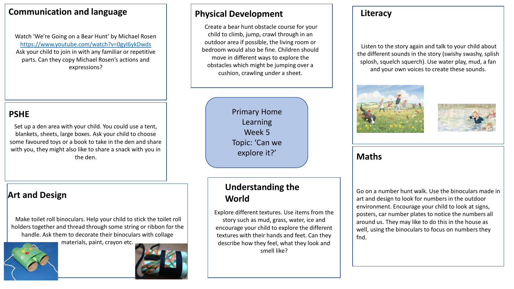#### **Communication and language**

Watch 'We're Going on a Bear Hunt' by Michael Rosen <https://www.youtube.com/watch?v=0gyI6ykDwds> Ask your child to join in with any familiar or repetitive parts. Can they copy Michael Rosen's actions and expressions?

# **PSHE**

Set up a den area with your child. You could use a tent, blankets, sheets, large boxes. Ask your child to choose some favoured toys or a book to take in the den and share with you, they might also like to share a snack with you in the den.

# **Art and Design**

Make toilet roll binoculars. Help your child to stick the toilet roll holders together and thread through some string or ribbon for the handle. Ask them to decorate their binoculars with collage

materials, paint, crayon etc.



# **Physical Development Literacy**

Create a bear hunt obstacle course for your child to climb, jump, crawl through in an outdoor area if possible, the living room or bedroom would also be fine. Children should move in different ways to explore the obstacles which might be jumping over a cushion, crawling under a sheet.

> Primary Home Learning Week 5 Topic: 'Can we explore it?'

# **Understanding the World**

Explore different textures. Use items from the story such as mud, grass, water, ice and encourage your child to explore the different textures with their hands and feet. Can they describe how they feel, what they look and smell like?

Listen to the story again and talk to your child about the different sounds in the story (swishy swashy, splish splosh, squelch squerch). Use water play, mud, a fan and your own voices to create these sounds.





#### **Maths**

Go on a number hunt walk. Use the binoculars made in art and design to look for numbers in the outdoor environment. Encourage your child to look at signs, posters, car number plates to notice the numbers all around us. They may like to do this in the house as well, using the binoculars to focus on numbers they fnd.